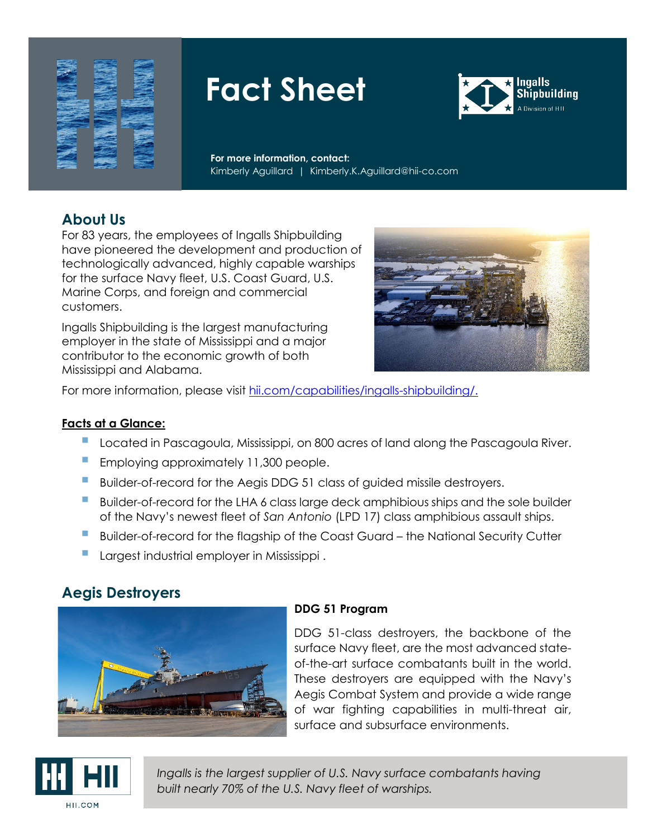



**For more information, contact:** Kimberly Aguillard | Kimberly.K.Aguillard@hii-co.com

## **About Us**

For 83 years, the employees of Ingalls Shipbuilding have pioneered the development and production of technologically advanced, highly capable warships for the surface Navy fleet, U.S. Coast Guard, U.S. Marine Corps, and foreign and commercial customers.

Ingalls Shipbuilding is the largest manufacturing employer in the state of Mississippi and a major contributor to the economic growth of both Mississippi and Alabama.



For more information, please visit [hii.com/capabilities/ingalls-shipbuilding/.](https://hii.com/capabilities/ingalls-shipbuilding/)

#### **Facts at a Glance:**

- **Located in Pascagoula, Mississippi, on 800 acres of land along the Pascagoula River.**
- **Employing approximately 11,300 people.**
- Builder-of-record for the Aegis DDG 51 class of guided missile destroyers.
- Builder-of-record for the LHA 6 class large deck amphibious ships and the sole builder of the Navy's newest fleet of *San Antonio* (LPD 17) class amphibious assault ships.
- **Builder-of-record for the flagship of the Coast Guard the National Security Cutter**
- Largest industrial employer in Mississippi .

## **Aegis Destroyers**



### **DDG 51 Program**

DDG 51-class destroyers, the backbone of the surface Navy fleet, are the most advanced stateof-the-art surface combatants built in the world. These destroyers are equipped with the Navy's Aegis Combat System and provide a wide range of war fighting capabilities in multi-threat air, surface and subsurface environments.

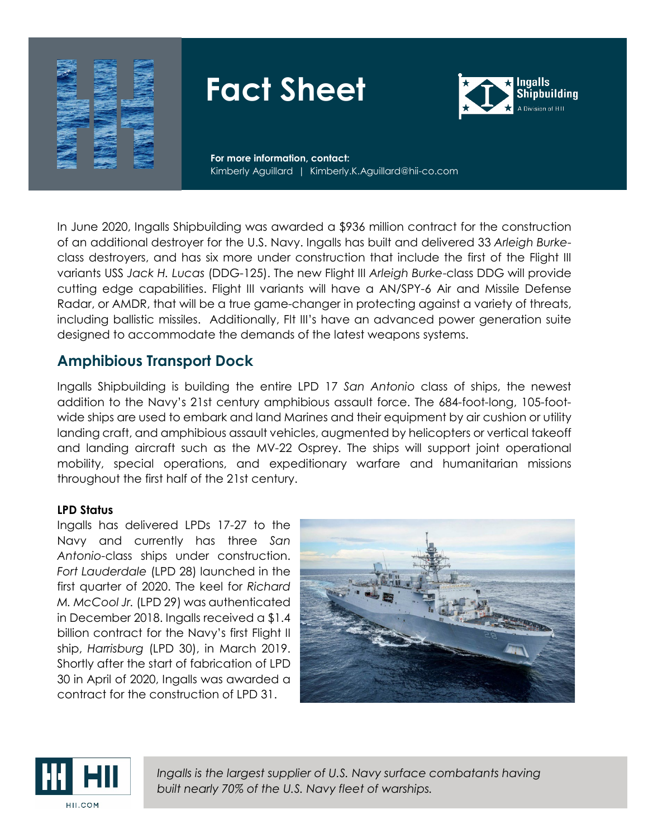



**For more information, contact:** Kimberly Aguillard | Kimberly.K.Aguillard@hii-co.com

In June 2020, Ingalls Shipbuilding was awarded a \$936 million contract for the construction of an additional destroyer for the U.S. Navy. Ingalls has built and delivered 33 *Arleigh Burke*class destroyers, and has six more under construction that include the first of the Flight III variants USS *Jack H. Lucas* (DDG-125). The new Flight III *Arleigh Burke*-class DDG will provide cutting edge capabilities. Flight III variants will have a AN/SPY-6 Air and Missile Defense Radar, or AMDR, that will be a true game-changer in protecting against a variety of threats, including ballistic missiles. Additionally, Flt III's have an advanced power generation suite designed to accommodate the demands of the latest weapons systems.

### **Amphibious Transport Dock**

Ingalls Shipbuilding is building the entire LPD 17 *San Antonio* class of ships, the newest addition to the Navy's 21st century amphibious assault force. The 684-foot-long, 105-footwide ships are used to embark and land Marines and their equipment by air cushion or utility landing craft, and amphibious assault vehicles, augmented by helicopters or vertical takeoff and landing aircraft such as the MV-22 Osprey. The ships will support joint operational mobility, special operations, and expeditionary warfare and humanitarian missions throughout the first half of the 21st century.

### **LPD Status**

Ingalls has delivered LPDs 17-27 to the Navy and currently has three *San Antonio-*class ships under construction. *Fort Lauderdale* (LPD 28) launched in the first quarter of 2020. The keel for *Richard M. McCool Jr.* (LPD 29) was authenticated in December 2018. Ingalls received a \$1.4 billion contract for the Navy's first Flight II ship, *Harrisburg* (LPD 30), in March 2019. Shortly after the start of fabrication of LPD 30 in April of 2020, Ingalls was awarded a contract for the construction of LPD 31.



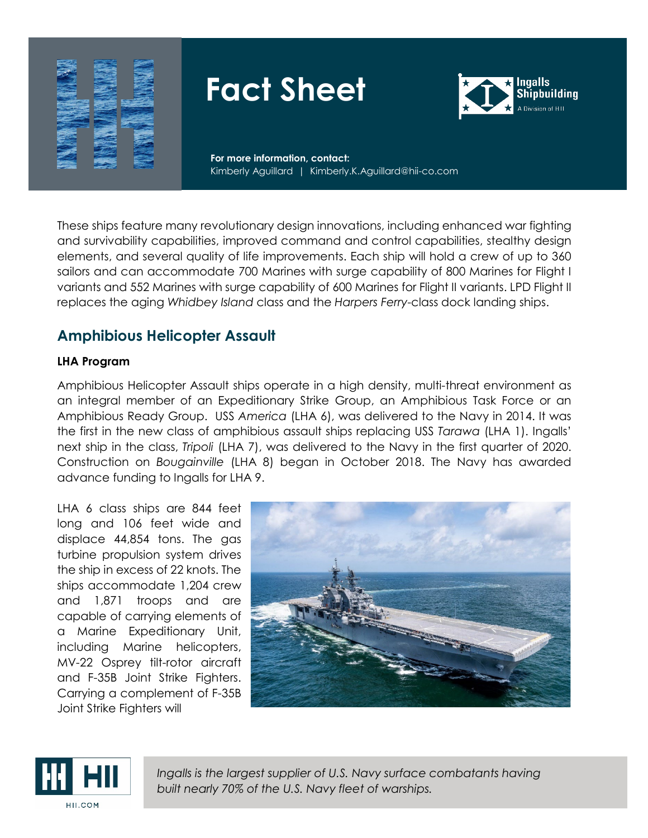



**For more information, contact:** Kimberly Aguillard | Kimberly.K.Aguillard@hii-co.com

These ships feature many revolutionary design innovations, including enhanced war fighting and survivability capabilities, improved command and control capabilities, stealthy design elements, and several quality of life improvements. Each ship will hold a crew of up to 360 sailors and can accommodate 700 Marines with surge capability of 800 Marines for Flight I variants and 552 Marines with surge capability of 600 Marines for Flight II variants. LPD Flight II replaces the aging *Whidbey Island* class and the *Harpers Ferry*-class dock landing ships.

## **Amphibious Helicopter Assault**

#### **LHA Program**

Amphibious Helicopter Assault ships operate in a high density, multi-threat environment as an integral member of an Expeditionary Strike Group, an Amphibious Task Force or an Amphibious Ready Group. USS *America* (LHA 6), was delivered to the Navy in 2014. It was the first in the new class of amphibious assault ships replacing USS *Tarawa* (LHA 1). Ingalls' next ship in the class, *Tripoli* (LHA 7), was delivered to the Navy in the first quarter of 2020. Construction on *Bougainville* (LHA 8) began in October 2018. The Navy has awarded advance funding to Ingalls for LHA 9.

LHA 6 class ships are 844 feet long and 106 feet wide and displace 44,854 tons. The gas turbine propulsion system drives the ship in excess of 22 knots. The ships accommodate 1,204 crew and 1,871 troops and are capable of carrying elements of a Marine Expeditionary Unit, including Marine helicopters, MV-22 Osprey tilt-rotor aircraft and F-35B Joint Strike Fighters. Carrying a complement of F-35B Joint Strike Fighters will



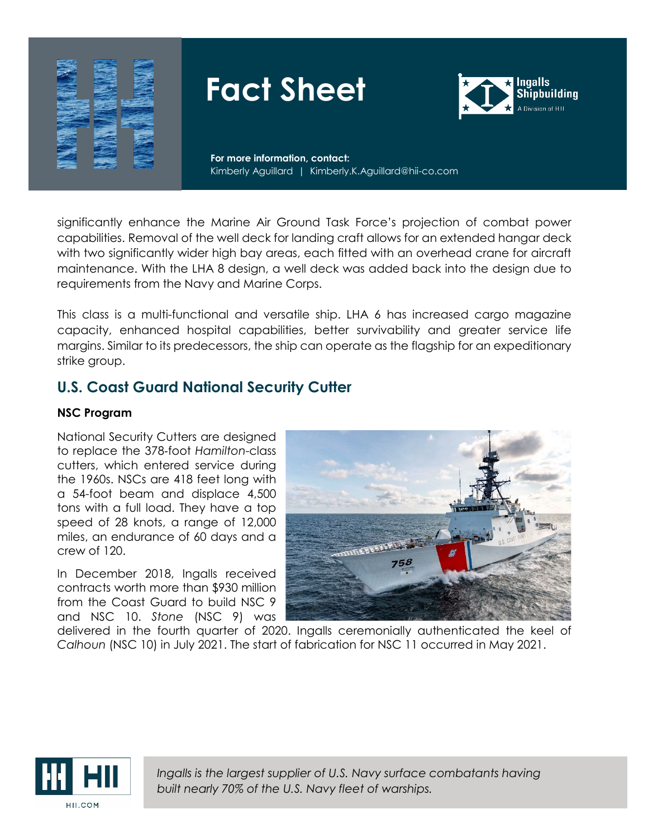



**For more information, contact:** Kimberly Aguillard | Kimberly.K.Aguillard@hii-co.com

significantly enhance the Marine Air Ground Task Force's projection of combat power capabilities. Removal of the well deck for landing craft allows for an extended hangar deck with two significantly wider high bay areas, each fitted with an overhead crane for aircraft maintenance. With the LHA 8 design, a well deck was added back into the design due to requirements from the Navy and Marine Corps.

This class is a multi-functional and versatile ship. LHA 6 has increased cargo magazine capacity, enhanced hospital capabilities, better survivability and greater service life margins. Similar to its predecessors, the ship can operate as the flagship for an expeditionary strike group.

## **U.S. Coast Guard National Security Cutter**

#### **NSC Program**

National Security Cutters are designed to replace the 378‐foot *Hamilton*-class cutters, which entered service during the 1960s. NSCs are 418 feet long with a 54-foot beam and displace 4,500 tons with a full load. They have a top speed of 28 knots, a range of 12,000 miles, an endurance of 60 days and a crew of 120.

In December 2018, Ingalls received contracts worth more than \$930 million from the Coast Guard to build NSC 9 and NSC 10. *Stone* (NSC 9) was



delivered in the fourth quarter of 2020. Ingalls ceremonially authenticated the keel of *Calhoun* (NSC 10) in July 2021. The start of fabrication for NSC 11 occurred in May 2021.